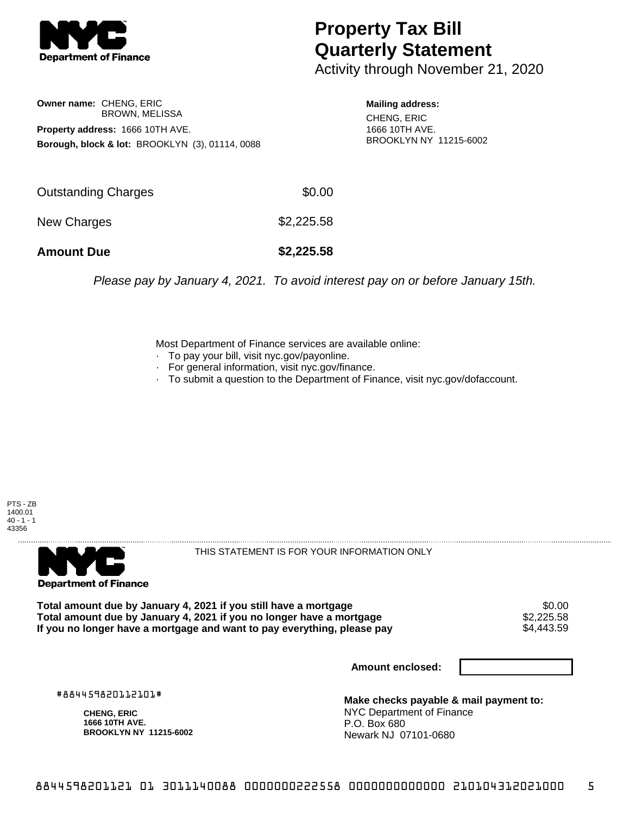

## **Property Tax Bill Quarterly Statement**

Activity through November 21, 2020

**Owner name:** CHENG, ERIC BROWN, MELISSA **Property address:** 1666 10TH AVE. **Borough, block & lot:** BROOKLYN (3), 01114, 0088

**Mailing address:** CHENG, ERIC 1666 10TH AVE. BROOKLYN NY 11215-6002

| <b>Amount Due</b>   | \$2,225.58 |
|---------------------|------------|
| New Charges         | \$2,225.58 |
| Outstanding Charges | \$0.00     |

Please pay by January 4, 2021. To avoid interest pay on or before January 15th.

Most Department of Finance services are available online:

- · To pay your bill, visit nyc.gov/payonline.
- For general information, visit nyc.gov/finance.
- · To submit a question to the Department of Finance, visit nyc.gov/dofaccount.





THIS STATEMENT IS FOR YOUR INFORMATION ONLY

Total amount due by January 4, 2021 if you still have a mortgage \$0.00<br>Total amount due by January 4, 2021 if you no longer have a mortgage \$2.225.58 **Total amount due by January 4, 2021 if you no longer have a mortgage**  $$2,225.58$ **<br>If you no longer have a mortgage and want to pay everything, please pay** If you no longer have a mortgage and want to pay everything, please pay

**Amount enclosed:**

#884459820112101#

**CHENG, ERIC 1666 10TH AVE. BROOKLYN NY 11215-6002**

**Make checks payable & mail payment to:** NYC Department of Finance P.O. Box 680 Newark NJ 07101-0680